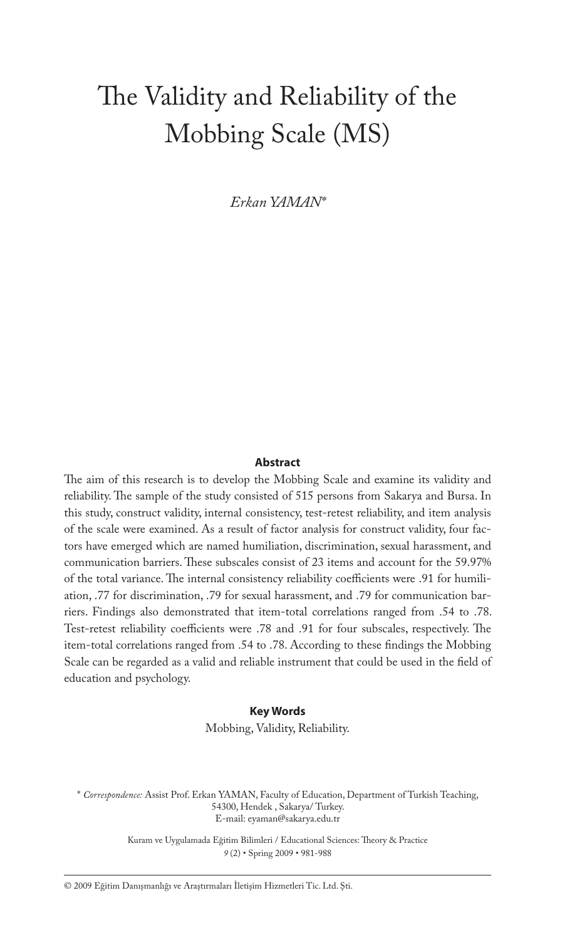# The Validity and Reliability of the Mobbing Scale (MS)

*Erkan YAMAN\**

#### **Abstract**

The aim of this research is to develop the Mobbing Scale and examine its validity and reliability. The sample of the study consisted of 515 persons from Sakarya and Bursa. In this study, construct validity, internal consistency, test-retest reliability, and item analysis of the scale were examined. As a result of factor analysis for construct validity, four factors have emerged which are named humiliation, discrimination, sexual harassment, and communication barriers. These subscales consist of 23 items and account for the 59.97% of the total variance. The internal consistency reliability coefficients were .91 for humiliation, .77 for discrimination, .79 for sexual harassment, and .79 for communication barriers. Findings also demonstrated that item-total correlations ranged from .54 to .78. Test-retest reliability coefficients were .78 and .91 for four subscales, respectively. The item-total correlations ranged from .54 to .78. According to these findings the Mobbing Scale can be regarded as a valid and reliable instrument that could be used in the field of education and psychology.

#### **Key Words**

Mobbing, Validity, Reliability.

\* *Correspondence:* Assist Prof. Erkan YAMAN, Faculty of Education, Department of Turkish Teaching, 54300, Hendek , Sakarya/ Turkey. E-mail: eyaman@sakarya.edu.tr

> Kuram ve Uygulamada Eğitim Bilimleri / Educational Sciences: Theory & Practice *9* (2) • Spring 2009 • 981-988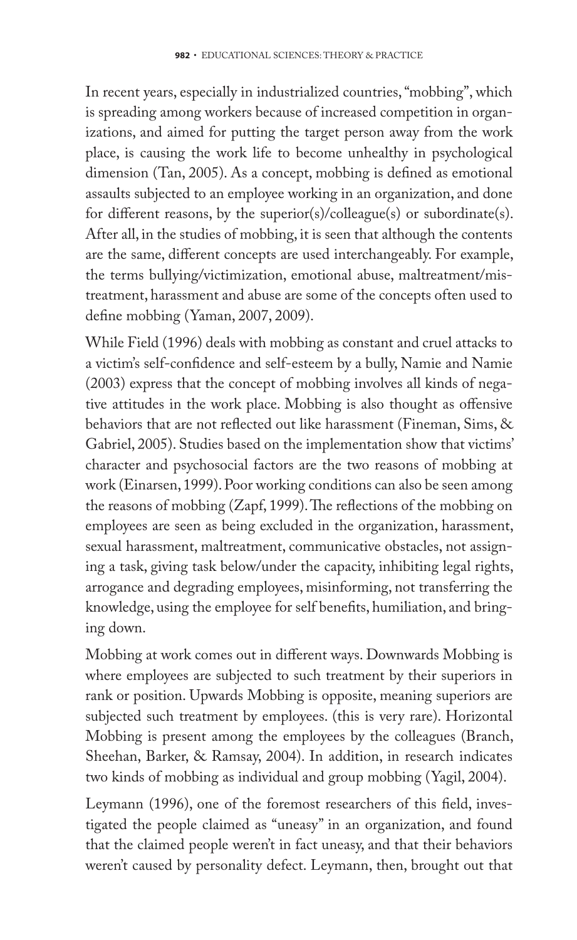In recent years, especially in industrialized countries, "mobbing", which is spreading among workers because of increased competition in organizations, and aimed for putting the target person away from the work place, is causing the work life to become unhealthy in psychological dimension (Tan, 2005). As a concept, mobbing is defined as emotional assaults subjected to an employee working in an organization, and done for different reasons, by the superior(s)/colleague(s) or subordinate(s). After all, in the studies of mobbing, it is seen that although the contents are the same, different concepts are used interchangeably. For example, the terms bullying/victimization, emotional abuse, maltreatment/mistreatment, harassment and abuse are some of the concepts often used to define mobbing (Yaman, 2007, 2009).

While Field (1996) deals with mobbing as constant and cruel attacks to a victim's self-confidence and self-esteem by a bully, Namie and Namie (2003) express that the concept of mobbing involves all kinds of negative attitudes in the work place. Mobbing is also thought as offensive behaviors that are not reflected out like harassment (Fineman, Sims, & Gabriel, 2005). Studies based on the implementation show that victims' character and psychosocial factors are the two reasons of mobbing at work (Einarsen, 1999). Poor working conditions can also be seen among the reasons of mobbing (Zapf, 1999). The reflections of the mobbing on employees are seen as being excluded in the organization, harassment, sexual harassment, maltreatment, communicative obstacles, not assigning a task, giving task below/under the capacity, inhibiting legal rights, arrogance and degrading employees, misinforming, not transferring the knowledge, using the employee for self benefits, humiliation, and bringing down.

Mobbing at work comes out in different ways. Downwards Mobbing is where employees are subjected to such treatment by their superiors in rank or position. Upwards Mobbing is opposite, meaning superiors are subjected such treatment by employees. (this is very rare). Horizontal Mobbing is present among the employees by the colleagues (Branch, Sheehan, Barker, & Ramsay, 2004). In addition, in research indicates two kinds of mobbing as individual and group mobbing (Yagil, 2004).

Leymann (1996), one of the foremost researchers of this field, investigated the people claimed as "uneasy" in an organization, and found that the claimed people weren't in fact uneasy, and that their behaviors weren't caused by personality defect. Leymann, then, brought out that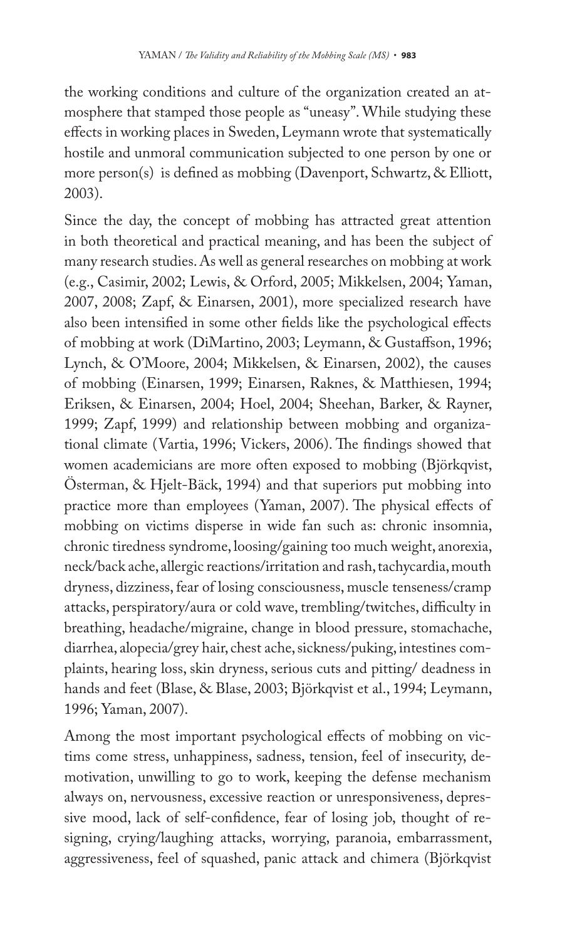the working conditions and culture of the organization created an atmosphere that stamped those people as "uneasy". While studying these effects in working places in Sweden, Leymann wrote that systematically hostile and unmoral communication subjected to one person by one or more person(s) is defined as mobbing (Davenport, Schwartz, & Elliott, 2003).

Since the day, the concept of mobbing has attracted great attention in both theoretical and practical meaning, and has been the subject of many research studies. As well as general researches on mobbing at work (e.g., Casimir, 2002; Lewis, & Orford, 2005; Mikkelsen, 2004; Yaman, 2007, 2008; Zapf, & Einarsen, 2001), more specialized research have also been intensified in some other fields like the psychological effects of mobbing at work (DiMartino, 2003; Leymann, & Gustaffson, 1996; Lynch, & O'Moore, 2004; Mikkelsen, & Einarsen, 2002), the causes of mobbing (Einarsen, 1999; Einarsen, Raknes, & Matthiesen, 1994; Eriksen, & Einarsen, 2004; Hoel, 2004; Sheehan, Barker, & Rayner, 1999; Zapf, 1999) and relationship between mobbing and organizational climate (Vartia, 1996; Vickers, 2006). The findings showed that women academicians are more often exposed to mobbing (Björkqvist, Österman, & Hjelt-Bäck, 1994) and that superiors put mobbing into practice more than employees (Yaman, 2007). The physical effects of mobbing on victims disperse in wide fan such as: chronic insomnia, chronic tiredness syndrome, loosing/gaining too much weight, anorexia, neck/back ache, allergic reactions/irritation and rash, tachycardia, mouth dryness, dizziness, fear of losing consciousness, muscle tenseness/cramp attacks, perspiratory/aura or cold wave, trembling/twitches, difficulty in breathing, headache/migraine, change in blood pressure, stomachache, diarrhea, alopecia/grey hair, chest ache, sickness/puking, intestines complaints, hearing loss, skin dryness, serious cuts and pitting/ deadness in hands and feet (Blase, & Blase, 2003; Björkqvist et al., 1994; Leymann, 1996; Yaman, 2007).

Among the most important psychological effects of mobbing on victims come stress, unhappiness, sadness, tension, feel of insecurity, demotivation, unwilling to go to work, keeping the defense mechanism always on, nervousness, excessive reaction or unresponsiveness, depressive mood, lack of self-confidence, fear of losing job, thought of resigning, crying/laughing attacks, worrying, paranoia, embarrassment, aggressiveness, feel of squashed, panic attack and chimera (Björkqvist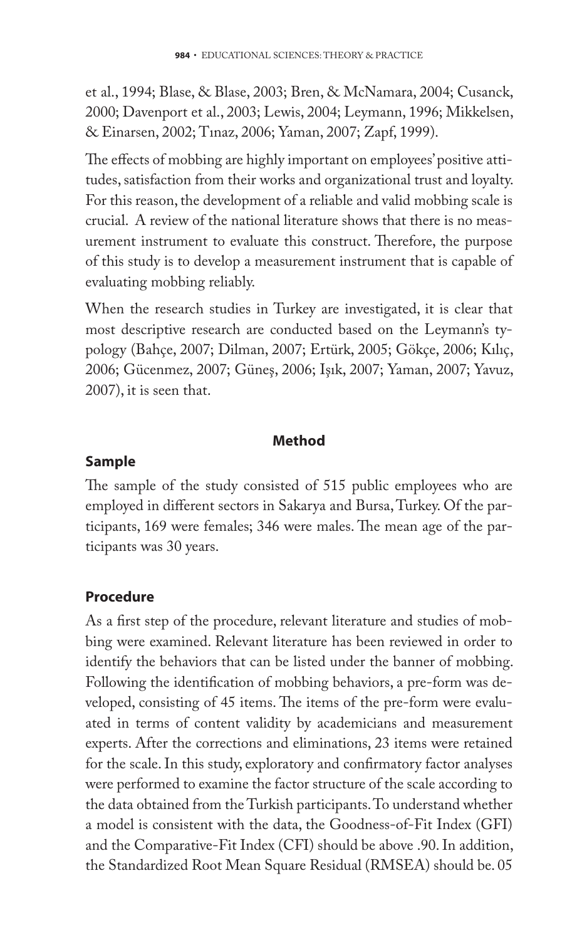et al., 1994; Blase, & Blase, 2003; Bren, & McNamara, 2004; Cusanck, 2000; Davenport et al., 2003; Lewis, 2004; Leymann, 1996; Mikkelsen, & Einarsen, 2002; Tınaz, 2006; Yaman, 2007; Zapf, 1999).

The effects of mobbing are highly important on employees' positive attitudes, satisfaction from their works and organizational trust and loyalty. For this reason, the development of a reliable and valid mobbing scale is crucial. A review of the national literature shows that there is no measurement instrument to evaluate this construct. Therefore, the purpose of this study is to develop a measurement instrument that is capable of evaluating mobbing reliably.

When the research studies in Turkey are investigated, it is clear that most descriptive research are conducted based on the Leymann's typology (Bahçe, 2007; Dilman, 2007; Ertürk, 2005; Gökçe, 2006; Kılıç, 2006; Gücenmez, 2007; Güneş, 2006; Işık, 2007; Yaman, 2007; Yavuz, 2007), it is seen that.

## **Method**

# **Sample**

The sample of the study consisted of 515 public employees who are employed in different sectors in Sakarya and Bursa, Turkey. Of the participants, 169 were females; 346 were males. The mean age of the participants was 30 years.

# **Procedure**

As a first step of the procedure, relevant literature and studies of mobbing were examined. Relevant literature has been reviewed in order to identify the behaviors that can be listed under the banner of mobbing. Following the identification of mobbing behaviors, a pre-form was developed, consisting of 45 items. The items of the pre-form were evaluated in terms of content validity by academicians and measurement experts. After the corrections and eliminations, 23 items were retained for the scale. In this study, exploratory and confirmatory factor analyses were performed to examine the factor structure of the scale according to the data obtained from the Turkish participants. To understand whether a model is consistent with the data, the Goodness-of-Fit Index (GFI) and the Comparative-Fit Index (CFI) should be above .90. In addition, the Standardized Root Mean Square Residual (RMSEA) should be. 05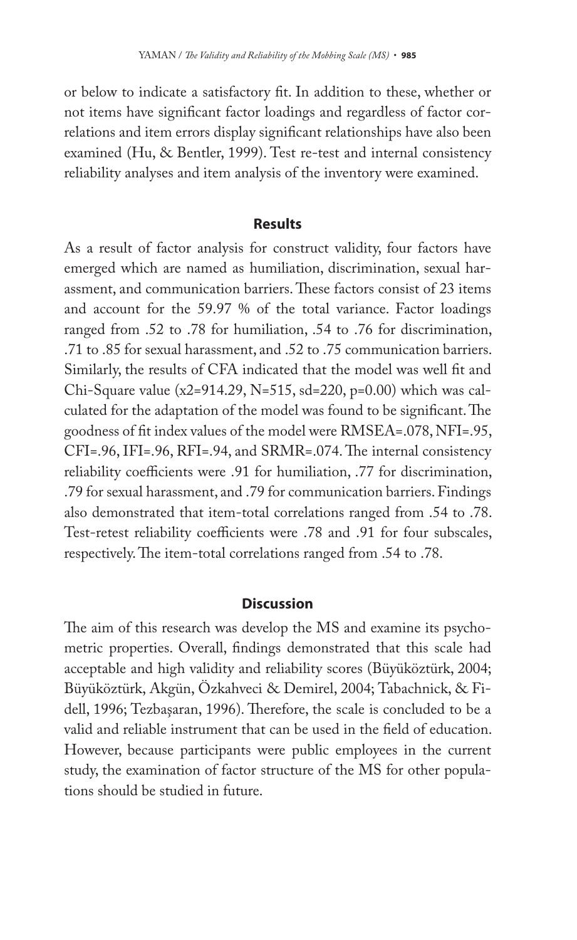or below to indicate a satisfactory fit. In addition to these, whether or not items have significant factor loadings and regardless of factor correlations and item errors display significant relationships have also been examined (Hu, & Bentler, 1999). Test re-test and internal consistency reliability analyses and item analysis of the inventory were examined.

### **Results**

As a result of factor analysis for construct validity, four factors have emerged which are named as humiliation, discrimination, sexual harassment, and communication barriers. These factors consist of 23 items and account for the 59.97 % of the total variance. Factor loadings ranged from .52 to .78 for humiliation, .54 to .76 for discrimination, .71 to .85 for sexual harassment, and .52 to .75 communication barriers. Similarly, the results of CFA indicated that the model was well fit and Chi-Square value (x2=914.29, N=515, sd=220, p=0.00) which was calculated for the adaptation of the model was found to be significant. The goodness of fit index values of the model were RMSEA=.078, NFI=.95, CFI=.96, IFI=.96, RFI=.94, and SRMR=.074. The internal consistency reliability coefficients were .91 for humiliation, .77 for discrimination, .79 for sexual harassment, and .79 for communication barriers. Findings also demonstrated that item-total correlations ranged from .54 to .78. Test-retest reliability coefficients were .78 and .91 for four subscales, respectively. The item-total correlations ranged from .54 to .78.

### **Discussion**

The aim of this research was develop the MS and examine its psychometric properties. Overall, findings demonstrated that this scale had acceptable and high validity and reliability scores (Büyüköztürk, 2004; Büyüköztürk, Akgün, Özkahveci & Demirel, 2004; Tabachnick, & Fidell, 1996; Tezbaşaran, 1996). Therefore, the scale is concluded to be a valid and reliable instrument that can be used in the field of education. However, because participants were public employees in the current study, the examination of factor structure of the MS for other populations should be studied in future.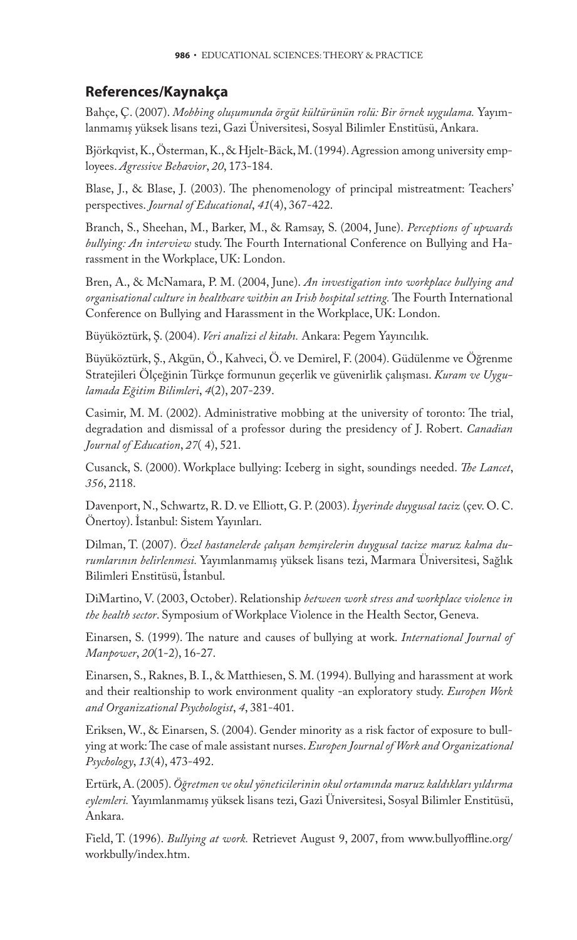## **References/Kaynakça**

Bahçe, Ç. (2007). *Mobbing oluşumunda örgüt kültürünün rolü: Bir örnek uygulama.* Yayımlanmamış yüksek lisans tezi, Gazi Üniversitesi, Sosyal Bilimler Enstitüsü, Ankara.

Björkqvist, K., Österman, K., & Hjelt-Bäck, M. (1994). Agression among university employees. *Agressive Behavior*, *20*, 173-184.

Blase, J., & Blase, J. (2003). The phenomenology of principal mistreatment: Teachers' perspectives. *Journal of Educational*, *41*(4), 367-422.

Branch, S., Sheehan, M., Barker, M., & Ramsay, S. (2004, June). *Perceptions of upwards bullying: An interview* study. The Fourth International Conference on Bullying and Harassment in the Workplace, UK: London.

Bren, A., & McNamara, P. M. (2004, June). *An investigation into workplace bullying and organisational culture in healthcare within an Irish hospital setting*. The Fourth International Conference on Bullying and Harassment in the Workplace, UK: London.

Büyüköztürk, Ş. (2004). *Veri analizi el kitabı.* Ankara: Pegem Yayıncılık.

Büyüköztürk, Ş., Akgün, Ö., Kahveci, Ö. ve Demirel, F. (2004). Güdülenme ve Öğrenme Stratejileri Ölçeğinin Türkçe formunun geçerlik ve güvenirlik çalışması. *Kuram ve Uygulamada Eğitim Bilimleri*, *4*(2), 207-239.

Casimir, M. M. (2002). Administrative mobbing at the university of toronto: The trial, degradation and dismissal of a professor during the presidency of J. Robert. *Canadian Journal of Education*, *27*( 4), 521.

Cusanck, S. (2000). Workplace bullying: Iceberg in sight, soundings needed. *The Lancet*, *356*, 2118.

Davenport, N., Schwartz, R. D. ve Elliott, G. P. (2003). *İşyerinde duygusal taciz* (çev. O. C. Önertoy). İstanbul: Sistem Yayınları.

Dilman, T. (2007). *Özel hastanelerde çalışan hemşirelerin duygusal tacize maruz kalma durumlarının belirlenmesi.* Yayımlanmamış yüksek lisans tezi, Marmara Üniversitesi, Sağlık Bilimleri Enstitüsü, İstanbul.

DiMartino, V. (2003, October). Relationship *between work stress and workplace violence in the health sector*. Symposium of Workplace Violence in the Health Sector, Geneva.

Einarsen, S. (1999). The nature and causes of bullying at work. *International Journal of Manpower*, *20*(1-2), 16-27.

Einarsen, S., Raknes, B. I., & Matthiesen, S. M. (1994). Bullying and harassment at work and their realtionship to work environment quality -an exploratory study. *Europen Work and Organizational Psychologist*, *4*, 381-401.

Eriksen, W., & Einarsen, S. (2004). Gender minority as a risk factor of exposure to bullying at work: The case of male assistant nurses. *Europen Journal of Work and Organizational Psychology*, *13*(4), 473-492.

Ertürk, A. (2005). *Öğretmen ve okul yöneticilerinin okul ortamında maruz kaldıkları yıldırma eylemleri.* Yayımlanmamış yüksek lisans tezi, Gazi Üniversitesi, Sosyal Bilimler Enstitüsü, Ankara.

Field, T. (1996). *Bullying at work*. Retrievet August 9, 2007, from www.bullyoffline.org/ workbully/index.htm.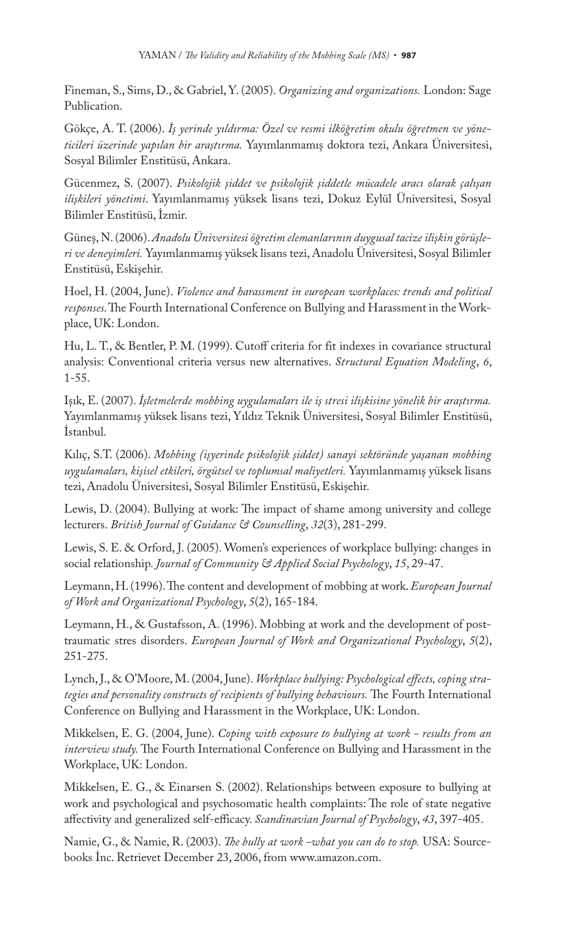Fineman, S., Sims, D., & Gabriel, Y. (2005). *Organizing and organizations.* London: Sage Publication.

Gökçe, A. T. (2006). *İş yerinde yıldırma: Özel ve resmi ilköğretim okulu öğretmen ve yöneticileri üzerinde yapılan bir araştırma.* Yayımlanmamış doktora tezi, Ankara Üniversitesi, Sosyal Bilimler Enstitüsü, Ankara.

Gücenmez, S. (2007). *Psikolojik şiddet ve psikolojik şiddetle mücadele aracı olarak çalışan ilişkileri yönetimi*. Yayımlanmamış yüksek lisans tezi, Dokuz Eylül Üniversitesi, Sosyal Bilimler Enstitüsü, İzmir.

Güneş, N. (2006). *Anadolu Üniversitesi öğretim elemanlarının duygusal tacize ilişkin görüşleri ve deneyimleri.* Yayımlanmamış yüksek lisans tezi, Anadolu Üniversitesi, Sosyal Bilimler Enstitüsü, Eskişehir.

Hoel, H. (2004, June). *Violence and harassment in european workplaces: trends and political*  responses. The Fourth International Conference on Bullying and Harassment in the Workplace, UK: London.

Hu, L. T., & Bentler, P. M. (1999). Cutoff criteria for fit indexes in covariance structural analysis: Conventional criteria versus new alternatives. *Structural Equation Modeling*, *6*, 1-55.

Işık, E. (2007). *İşletmelerde mobbing uygulamaları ile iş stresi ilişkisine yönelik bir araştırma.* Yayımlanmamış yüksek lisans tezi, Yıldız Teknik Üniversitesi, Sosyal Bilimler Enstitüsü, İstanbul.

Kılıç, S.T. (2006). *Mobbing (işyerinde psikolojik şiddet) sanayi sektöründe yaşanan mobbing uygulamaları, kişisel etkileri, örgütsel ve toplumsal maliyetleri.* Yayımlanmamış yüksek lisans tezi, Anadolu Üniversitesi, Sosyal Bilimler Enstitüsü, Eskişehir.

Lewis, D. (2004). Bullying at work: The impact of shame among university and college lecturers. *British Journal of Guidance & Counselling*, *32*(3), 281-299.

Lewis, S. E. & Orford, J. (2005). Women's experiences of workplace bullying: changes in social relationship. *Journal of Community & Applied Social Psychology*, *15*, 29-47.

Leymann, H. (1996). The content and development of mobbing at work. *European Journal of Work and Organizational Psychology*, *5*(2), 165-184.

Leymann, H., & Gustafsson, A. (1996). Mobbing at work and the development of posttraumatic stres disorders. *European Journal of Work and Organizational Psychology*, *5*(2), 251-275.

Lynch, J., & O'Moore, M. (2004, June). *Workplace bullying: Psychological effects, coping stra*tegies and personality constructs of recipients of bullying behaviours. The Fourth International Conference on Bullying and Harassment in the Workplace, UK: London.

Mikkelsen, E. G. (2004, June). *Coping with exposure to bullying at work - results from an interview study*. The Fourth International Conference on Bullying and Harassment in the Workplace, UK: London.

Mikkelsen, E. G., & Einarsen S. (2002). Relationships between exposure to bullying at work and psychological and psychosomatic health complaints: The role of state negative affectivity and generalized self-efficacy. *Scandinavian Journal of Psychology*, 43, 397-405.

Namie, G., & Namie, R. (2003). *The bully at work -what you can do to stop*. USA: Sourcebooks İnc. Retrievet December 23, 2006, from www.amazon.com.